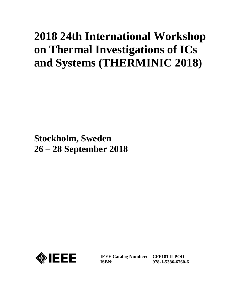# **2018 24th International Workshop on Thermal Investigations of ICs and Systems (THERMINIC 2018)**

**Stockholm, Sweden 26 – 28 September 2018**



**IEEE Catalog Number: ISBN:** 

**CFP18TII-POD 978-1-5386-6760-6**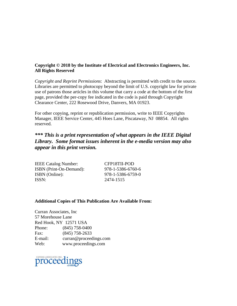#### **Copyright © 2018 by the Institute of Electrical and Electronics Engineers, Inc. All Rights Reserved**

*Copyright and Reprint Permissions*: Abstracting is permitted with credit to the source. Libraries are permitted to photocopy beyond the limit of U.S. copyright law for private use of patrons those articles in this volume that carry a code at the bottom of the first page, provided the per-copy fee indicated in the code is paid through Copyright Clearance Center, 222 Rosewood Drive, Danvers, MA 01923.

For other copying, reprint or republication permission, write to IEEE Copyrights Manager, IEEE Service Center, 445 Hoes Lane, Piscataway, NJ 08854. All rights reserved.

### *\*\*\* This is a print representation of what appears in the IEEE Digital Library. Some format issues inherent in the e-media version may also appear in this print version.*

| <b>IEEE Catalog Number:</b> |  |
|-----------------------------|--|
| ISBN (Print-On-Demand):     |  |
| ISBN (Online):              |  |
| ISSN:                       |  |

CFP18TII-POD 978-1-5386-6760-6 978-1-5386-6759-0 ISSN: 2474-1515

#### **Additional Copies of This Publication Are Available From:**

Curran Associates, Inc 57 Morehouse Lane Red Hook, NY 12571 USA Phone: (845) 758-0400 Fax: (845) 758-2633 E-mail: curran@proceedings.com Web: www.proceedings.com

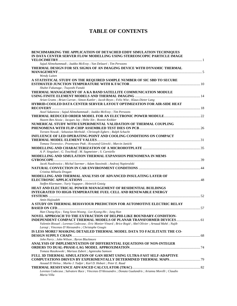## **TABLE OF CONTENTS**

| BENCHMARKING THE APPLICATION OF DETACHED EDDY SIMULATION TECHNIQUES                                       |  |
|-----------------------------------------------------------------------------------------------------------|--|
| IN DATA CENTER SERVER FLOW MODELLING USING STEREOSCOPIC PARTICLE IMAGE                                    |  |
|                                                                                                           |  |
| Sajad Alimohammadi ; Jaakko McEvoy ; Yan Delauré ; Tim Persoons                                           |  |
| THERMAL DESIGN FOR SIX SIGMA OF AN IMAGING DEVICE WITH DYNAMIC THERMAL                                    |  |
|                                                                                                           |  |
| Wendy Luiten                                                                                              |  |
| A STATISTICAL STUDY ON THE REQUIRED SAMPLE NUMBER OF SIC SBD TO SECURE                                    |  |
|                                                                                                           |  |
| Shuhei Fukunaga; Tsuyoshi Funaki                                                                          |  |
| THERMAL MANAGEMENT OF A KA BAND SATELLITE COMMUNICATION MODULE                                            |  |
|                                                                                                           |  |
| Arian Grams ; Brian Curran ; Simon Kuttler ; Jacob Reyes ; Felix Wist ; Klaus-Dieter Lang                 |  |
| <b>HYBRID-COOLED DATA CENTER SERVER LAYOUT OPTIMIZATION FOR AIR-SIDE HEAT</b>                             |  |
|                                                                                                           |  |
| Assel Sakanova ; Sajad Alimohammadi ; Jaakko McEvoy ; Tim Persoons                                        |  |
| Hazem Ben Aissia ; Jacques Jay ; Shihe Xin ; Ronnie Knikker                                               |  |
| NUMERICAL STUDY WITH EXPERIMENTAL VALIDATION OF THERMAL COUPLING                                          |  |
|                                                                                                           |  |
| Torsten Nowak ; Sebastian Merbold ; Christoph Egbers ; Ralph Schacht                                      |  |
| INFLUENCE OF LED OPERATING POINT AND COOLING CONDITIONS ON COMPACT                                        |  |
|                                                                                                           |  |
| Tomasz Torzewicz; Przemysaw Ptak; Krzysztof Górecki; Marcin Janicki                                       |  |
|                                                                                                           |  |
| A. P. Singulani ; G. Toschkoff ; M. Sagmeister ; S. Carniello                                             |  |
| MODELLING AND SIMULATION THERMAL EXPANSION PHENOMENA IN MEMS                                              |  |
|                                                                                                           |  |
| Jacek Nazdrowicz; Michal Szermer; Adam Stawinski; Andrzej Napieralski                                     |  |
|                                                                                                           |  |
| Cristina Mihaela Dragan                                                                                   |  |
| MODELLING AND THERMAL ANALYSIS OF ADVANCED INSULATING LAYER OF                                            |  |
|                                                                                                           |  |
| Steffen Klarmann ; Yuriy Vagapov ; Heinrich Gotzig                                                        |  |
| HEAT AND ELECTRICAL POWER MANAGEMENT OF RESIDENTIAL BUILDINGS                                             |  |
| <b>INTEGRATED TO HIGH-TEMPERATURE FUEL CELL AND RENEWABLE ENERGY</b>                                      |  |
|                                                                                                           |  |
| Amin Hajizadeh                                                                                            |  |
| A STUDY ON THERMAL BEHAVIOUR PREDICTION FOR AUTOMOTIVE ELECTRIC RELAY                                     |  |
|                                                                                                           |  |
| Han Chang-Kyu ; Yang Seon-Woong ; Lee Kyung-Ho ; Jung Hun                                                 |  |
| NOVEL APPROACH TO THE EXTRACTION OF DELPHI-LIKE BOUNDARY-CONDITION-                                       |  |
| INDEPENDENT COMPACT THERMAL MODELS OF PLANAR TRANSFORMER DEVICES 61                                       |  |
| Valentin Bissuel; Lorenzo Codecasa; Eric Monier-Vinard; Brice Rogié; Abel Olivier; Arnaud Mahé; Najib     |  |
| Laraqi ; Vincenzo D'Alessandro ; Christophe Gougis                                                        |  |
| IS LESS MORE? MASKING DETAILED THERMAL MODEL DATA TO FACILITATE THE CO-                                   |  |
|                                                                                                           |  |
| John Parry ; John Wilson ; Byron Blackmore                                                                |  |
| ANALYSIS OF IMPLEMENTATION OF DIFFERENTIAL EQUATIONS OF NON-INTEGER                                       |  |
|                                                                                                           |  |
| Tomasz Raszkowski ; Mariusz Zubert ; Agnieszka Samson                                                     |  |
| FULL 3D THERMAL SIMULATION OF GAN HEMT USING ULTRA-FAST SELF-ADAPTIVE                                     |  |
|                                                                                                           |  |
| Assaad El Helou ; Marko J. Tadjer ; Karl D. Hobart ; Peter E. Raad                                        |  |
| Lorenzo Codecasa ; Salvatore Race ; Vincenzo D'Alessandro ; Donata Gualandris ; Arianna Morelli ; Claudio |  |
| Maria Villa                                                                                               |  |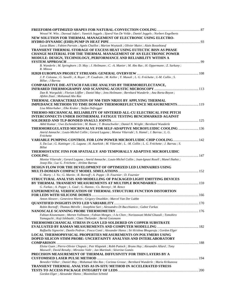| Wessel W. Wits; Davoud Jafari; Yannick Jeggels; Sjoerd Van De Velde; Daniel Jeggels; Norbert Engelberts                          |  |
|----------------------------------------------------------------------------------------------------------------------------------|--|
| NEW SOLUTION FOR THERMAL MANAGEMENT OF ELECTRONIC USING ELECTRO-                                                                 |  |
|                                                                                                                                  |  |
| Lucas Blanc; Fabien Parrain; Agnès Chaillot; Marion Woytasik; Olivier Maire; Alain Bosseboeuf                                    |  |
| TRANSIENT THERMAL STORAGE OF EXCESS HEAT USING EUTECTIC BISN AS PHASE                                                            |  |
| <b>CHANGE MATERIAL FOR THE THERMAL MANAGEMENT OF AN ELECTRONIC POWER</b>                                                         |  |
| MODULE: DESIGN, TECHNOLOGY, PERFORMANCE AND RELIABILITY WITHIN A                                                                 |  |
|                                                                                                                                  |  |
| B. Wunderle; M. Springborn; D. May; J. Heilmann; C. -A. Manier; M. Abo Ras; H. Oppermann; Z. Sarkany;                            |  |
| R. Mitova                                                                                                                        |  |
|                                                                                                                                  |  |
| J. P. Colonna; G. Savelli; A. Royer; P. Coudrain; M. Keller; Y. Manoli; L. G. Fréchette; L-M. Collin; S.<br>Billat ; J Barrau    |  |
| <b>COMPARATIVE DIE-ATTACH FAILURE ANALYSIS BY THERMOREFLECTANCE,</b>                                                             |  |
|                                                                                                                                  |  |
| Dan R. Wargulski; Florian Löffler; Daniel May; Jens Heilmann; Bernhard Wunderle; Ana Borta-Boyon;                                |  |
| Afshin Ziaei ; Mohamad Abo Ras                                                                                                   |  |
| THERMAL CHARACTERIZATION OF NM-THIN NB2O5 BY APPLYING THERMAL                                                                    |  |
| <b>IMPEDANCE METHODS TO TIME DOMAIN THERMOREFLECTANCE MEASUREMENTS 119</b>                                                       |  |
| Lisa Mitterhuber ; Elke Kraker ; Stefan Defregger                                                                                |  |
| THERMO-MECHANICAL RELIABILITY OF SINTERED ALL-CU ELECTRICAL FINE PITCH                                                           |  |
| INTERCONNECTS UNDER ISOTHERMAL FATIGUE TESTING BENCHMARKED AGAINST                                                               |  |
|                                                                                                                                  |  |
| Akhil Kumar; Uwe Zschenderlein; M. Baum; T. Brunschwiler; Daniel N. Wright; Bernhard Wunderle                                    |  |
| THERMOREGULATED MICROVALVE FOR SELF-ADAPTIVE MICROFLUIDIC COOLING  136                                                           |  |
| Amrid Amnache; Louis-Michel Collin; Gerard Laguna; Montse Vilarrubí; S. Hamel; J. Barrau; L. G.                                  |  |
| Fréchette                                                                                                                        |  |
| VARIABLE PUMPING CONTROL FOR LOW POWER MICROFLUIDIC CHIP COOLING 142                                                             |  |
| S. Da Luz; G. Kattinger; G. Laguna; H. Azarkish; M. Vilarrubi; L. -M. Collin; L. G. Fréchette; J. Barrau; S.                     |  |
| Billat                                                                                                                           |  |
| THERMOSTATIC FINS FOR SPATIALLY AND TEMPORALLY ADAPTIVE MICROFLUIDIC                                                             |  |
| Montse Vilarrubi; Gerard Laguna; Amrid Amnache; Louis-Michel Collin; Joan-Ignasi Rosell; Manel Ibañez;                           |  |
| Josep Illa ; Luc G. Fréchette ; Jérôme Barrau                                                                                    |  |
| DESIGN FLOW FOR THE DEVELOPMENT OF OPTIMIZED LED LUMINAIRES USING                                                                |  |
|                                                                                                                                  |  |
| C. Marty ; J. Yu ; G. Martin ; R. Bornoff ; A. Poppe ; D. Fournier ; D. Fournier                                                 |  |
| STRUCTURAL ANALYSIS AND MODELLING OF PACKAGED LIGHT EMITTING DEVICES                                                             |  |
|                                                                                                                                  |  |
| G. Farkas ; A. Poppe ; L. Gaal ; G. Hantos ; Cs. Berenyi ; M. Rencz                                                              |  |
| EXPERIMENTAL VERIFICATION OF THERMAL STRUCTURE FUNCTION DISTORTION                                                               |  |
|                                                                                                                                  |  |
| Anton Alexeev; Genevieve Martin; Grigory Onushkin; Marcel Van Der Lubbe                                                          |  |
|                                                                                                                                  |  |
| Robin Bornoff; Thomas Mérelle; Josephine Sari; Alessandro Di Bucchianico; Gabor Farkas                                           |  |
|                                                                                                                                  |  |
| Fabian Köonemann ; Morten Vollmann ; Fabian Menges ; I-Ju Chen ; Norizzawati Mohd Ghazali ; Tomohiro                             |  |
| Yamaguchi ; Koji Ishibashi ; Claes Thelander ; Bernd Gotsmann<br>THERMOMECHANICAL STRESS IN GAN LED SOLDERED ON COPPER SUBSTRATE |  |
|                                                                                                                                  |  |
| Raffaella Signorini ; Danilo Pedron ; Fosca Conti ; Alexander Hanss ; Sri Krishna Bhogaraju ; Gordon Elger                       |  |
| <b>LOCAL THERMOPHYSICAL PROPERTIES MEASUREMENTS ON POLYMERS USING</b>                                                            |  |
| DOPED SILICON STHM PROBE: UNCERTAINTY ANALYSIS AND INTERLABORATORY                                                               |  |
|                                                                                                                                  |  |
| Eloïse Guen; Pierre-Olivier Chapuis; Petr Klapetek; Robb Puttock; Bruno Hay; Alexandre Allard; Tony                              |  |
| Maxwell ; David Renahy ; Miroslav Valtr ; Jan Martinek ; Séverine Gomès                                                          |  |
| PRECISION MEASUREMENT OF THERMAL DIFFUSIVITY FOR THIN LAYERS BY A                                                                |  |
|                                                                                                                                  |  |
| Benedict Völker ; Daniel May ; Mohamad Abo Ras ; Corinna Grosse ; Bernhard Wunderle ; Maria Krikunova                            |  |
| <b>TRANSIENT THERMAL ANALYSIS AS IN-SITU METHOD IN ACCELERATED STRESS</b>                                                        |  |
|                                                                                                                                  |  |
| Gordon Elger ; Alexander Hanss ; Maximilian Schmid                                                                               |  |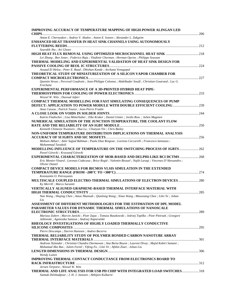| IMPROVING ACCURACY OF TEMPERATURE MAPPING OF HIGH-POWER ALINGAN LED<br><b>CHIPS</b>                                    |  |
|------------------------------------------------------------------------------------------------------------------------|--|
| Anton E. Chernyakov ; Andrey V. Aladov ; Anton E. Ivanov ; Alexander L. Zakgeim                                        |  |
| ENHANCED HEAT TRANSFER IN HEAT SINK CHANNELS USING AUTONOMOUSLY                                                        |  |
|                                                                                                                        |  |
| Sourabh Jha; Ari Glezer                                                                                                |  |
|                                                                                                                        |  |
| Lei Zhang; Ben Jones; Federico Buja; Vladimir Cherman; Herman Oprins; Philippe Soussan                                 |  |
| THERMAL MODELING AND EXPERIMENTAL VALIDATION OF HEAT SINK DESIGN FOR                                                   |  |
|                                                                                                                        |  |
| Assaad El Helou ; Peter E. Raad ; Dhishan Kande ; Archana Venugopal                                                    |  |
| THEORETICAL STUDY OF MINIATURIZATION OF A SILICON VAPOR CHAMBER FOR                                                    |  |
| Quentin Struss; Perceval Coudrain; Jean-Philippe Colonna; Abdelkader Souifi; Christian Goutrand; Luc G.                |  |
| Fréchette                                                                                                              |  |
| <b>EXPERIMENTAL PERFORMANCE OF A 3D-PRINTED HYBRID HEAT PIPE-</b>                                                      |  |
|                                                                                                                        |  |
| Wessel W. Wits; Davoud Jafari                                                                                          |  |
| <b>COMPACT THERMAL MODELLING FOR FAST SIMULATING CONSEQUENCES OF PUMP</b>                                              |  |
|                                                                                                                        |  |
| Anas Cassou ; Patrick Tounsi ; Jean-Pierre Fradin                                                                      |  |
|                                                                                                                        |  |
| Katrin Fladischer ; Lisa Mitterhuber ; Elke Kraker ; Daniel Ginter ; Jordis Rosc ; Julien Magnien                      |  |
| NUMERICAL SIMULATION OF THE JUNCTION TEMPERATURE, THE COOLANT FLOW                                                     |  |
|                                                                                                                        |  |
| Kenneth Chimezie Nwanoro ; Hua Lu ; Chunyan Yin ; Chris Bailey                                                         |  |
| NON-UNIFORM TEMPERATURE DISTRIBUTION IMPLICATIONS ON THERMAL ANALYSIS                                                  |  |
|                                                                                                                        |  |
| ( Mohsen Akbari ; Amir Sajjad Bahman ; Paula Diaz Reigosa ; Lorenzo Ceccarelli ; Francesco Iannuzzo                    |  |
| Mohammad Tavakoli                                                                                                      |  |
| <b>MODELLING INFLUENCE OF TEMPERATURE ON THE SWITCHING PROCESS OF IGBTS 262</b>                                        |  |
| Pawel Górecki ; Krzysztof Górecki<br><b>EXPERIMENTAL CHARACTERIZATION OF MOR-BASED AND DELPHI-LIKE BCI DCTMS  268</b>  |  |
| Eric Monier-Vinard; Lorenzo Codecasa; Brice Rogié; Valentin Bissuel; Najib Laraqi; Vincenzo D'Alessandro;              |  |
| Olivier Daniel                                                                                                         |  |
| <b>COMPACT DEVICE MODELS FOR BICMOS VLSIS SIMULATION IN THE EXTENDED</b>                                               |  |
|                                                                                                                        |  |
| Konstantin O. Petrosyants                                                                                              |  |
| <b>MULTISCALE COUPLED ELECTRO-THERMAL SIMULATIONS OF ELECTRON DEVICES  280</b>                                         |  |
| Ky Merrill ; Marco Saraniti                                                                                            |  |
| VERTICALLY ALIGNED GRAPHENE-BASED THERMAL INTERFACE MATERIAL WITH                                                      |  |
|                                                                                                                        |  |
| Nan Wang; Shujing Chen; Amos Nkansah; Qianlong Wang; Xitao Wang; Miaoxiang Chen; Lilei Ye; Johan                       |  |
| Liu                                                                                                                    |  |
| ASSESSMENT OF DIFFERENT METHODOLOGIES FOR THE ESTIMATION OF DPL MODEL                                                  |  |
| PARAMETER VALUES FOR DYNAMIC THERMAL SIMULATIONS OF NANOSCALE                                                          |  |
|                                                                                                                        |  |
| Mariusz Zubert ; Marcin Janicki ; Piotr Zajac ; Tomasz Raszkowski ; Jedrzej Topilko ; Piotr Pietrzak ; Grzegorz        |  |
| Jablonski ; Agnieszka Samson ; Andrzej Napieralski                                                                     |  |
| <b>RHEOLOGY INVESTIGATIONS OF HIGHLY LOADED THERMALLY CONDUCTIVE</b>                                                   |  |
|                                                                                                                        |  |
| Pierre Descamps ; Darren Hanssen ; Andres Becerra<br>THERMAL RELIABILITY STUDY OF POLYMER BONDED CARBON NANOTUBE ARRAY |  |
|                                                                                                                        |  |
| Andreas Nylander ; Christian Chandra Darmawan ; Ana Borta Boyon ; Laurent Divay ; Majid Kabiri Samani ;                |  |
| Mohamad Abo Ras; Julien Fortel; Yifeng Fu; Lilei Ye; Afshin Ziaei; Johan Liu                                           |  |
|                                                                                                                        |  |
| Wendy Luiten                                                                                                           |  |
| <b>IMPROVING THERMAL CONTACT CONDUCTANCE FROM ELECTRONICS BOARD TO</b>                                                 |  |
|                                                                                                                        |  |
| Jeroen Terpstra; Wessel W. Wits                                                                                        |  |
| THERMAL AND LIFE ANALYSIS FOR USB PD CHIP WITH INTEGRATED LOAD SWITCHES 318                                            |  |
| Siamak Delshadpour ; J. H. J. Janssen ; Abhijeet Kulkarni                                                              |  |